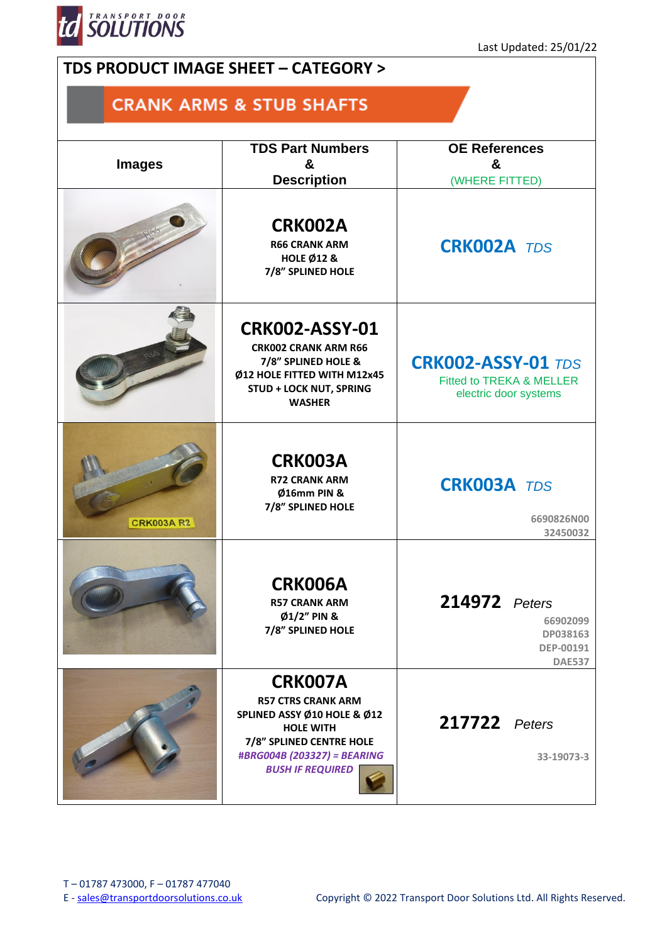

## **TDS PRODUCT IMAGE SHEET – CATEGORY >**

## **CRANK ARMS & STUB SHAFTS**

| <b>Images</b>     | <b>TDS Part Numbers</b>                                                                                                                                                              | <b>OE References</b>                                                           |  |
|-------------------|--------------------------------------------------------------------------------------------------------------------------------------------------------------------------------------|--------------------------------------------------------------------------------|--|
|                   | &                                                                                                                                                                                    | &                                                                              |  |
|                   | <b>Description</b>                                                                                                                                                                   | (WHERE FITTED)                                                                 |  |
|                   | <b>CRK002A</b><br><b>R66 CRANK ARM</b><br><b>HOLE Ø12 &amp;</b><br>7/8" SPLINED HOLE                                                                                                 | <b>CRK002A TDS</b>                                                             |  |
|                   | <b>CRK002-ASSY-01</b><br><b>CRK002 CRANK ARM R66</b><br>7/8" SPLINED HOLE &<br>Ø12 HOLE FITTED WITH M12x45<br><b>STUD + LOCK NUT, SPRING</b><br><b>WASHER</b>                        | <b>CRK002-ASSY-01 TDS</b><br>Fitted to TREKA & MELLER<br>electric door systems |  |
| <b>CRK003A R2</b> | <b>CRK003A</b><br><b>R72 CRANK ARM</b><br>Ø16mm PIN &<br>7/8" SPLINED HOLE                                                                                                           | <b>CRK003A TDS</b><br>6690826N00<br>32450032                                   |  |
|                   | <b>CRK006A</b><br><b>R57 CRANK ARM</b><br>Ø1/2" PIN &<br>7/8" SPLINED HOLE                                                                                                           | 214972 Peters<br>66902099<br>DP038163<br>DEP-00191<br><b>DAE537</b>            |  |
|                   | <b>CRK007A</b><br><b>R57 CTRS CRANK ARM</b><br>SPLINED ASSY Ø10 HOLE & Ø12<br><b>HOLE WITH</b><br>7/8" SPLINED CENTRE HOLE<br>#BRG004B (203327) = BEARING<br><b>BUSH IF REQUIRED</b> | <b>217722</b> Peters<br>33-19073-3                                             |  |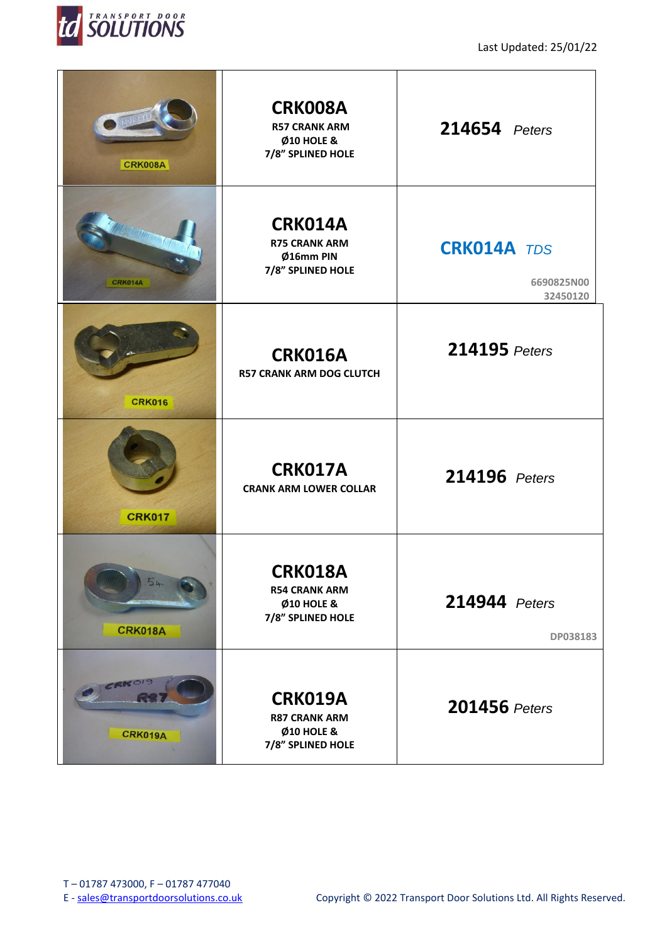

| <b>CRK008A</b>       | <b>CRK008A</b><br><b>R57 CRANK ARM</b><br><b>Ø10 HOLE &amp;</b><br>7/8" SPLINED HOLE | 214654 Peters                                |
|----------------------|--------------------------------------------------------------------------------------|----------------------------------------------|
| CRK014A              | CRK014A<br><b>R75 CRANK ARM</b><br>Ø16mm PIN<br>7/8" SPLINED HOLE                    | <b>CRK014A TDS</b><br>6690825N00<br>32450120 |
| <b>CRK016</b>        | <b>CRK016A</b><br><b>R57 CRANK ARM DOG CLUTCH</b>                                    | 214195 Peters                                |
| <b>CRK017</b>        | <b>CRK017A</b><br><b>CRANK ARM LOWER COLLAR</b>                                      | 214196 Peters                                |
| 54<br><b>CRK018A</b> | <b>CRK018A</b><br><b>R54 CRANK ARM</b><br><b>Ø10 HOLE &amp;</b><br>7/8" SPLINED HOLE | 214944 Peters<br>DP038183                    |
| ERROIS<br>CRK019A    | CRK019A<br><b>R87 CRANK ARM</b><br><b>Ø10 HOLE &amp;</b><br>7/8" SPLINED HOLE        | 201456 Peters                                |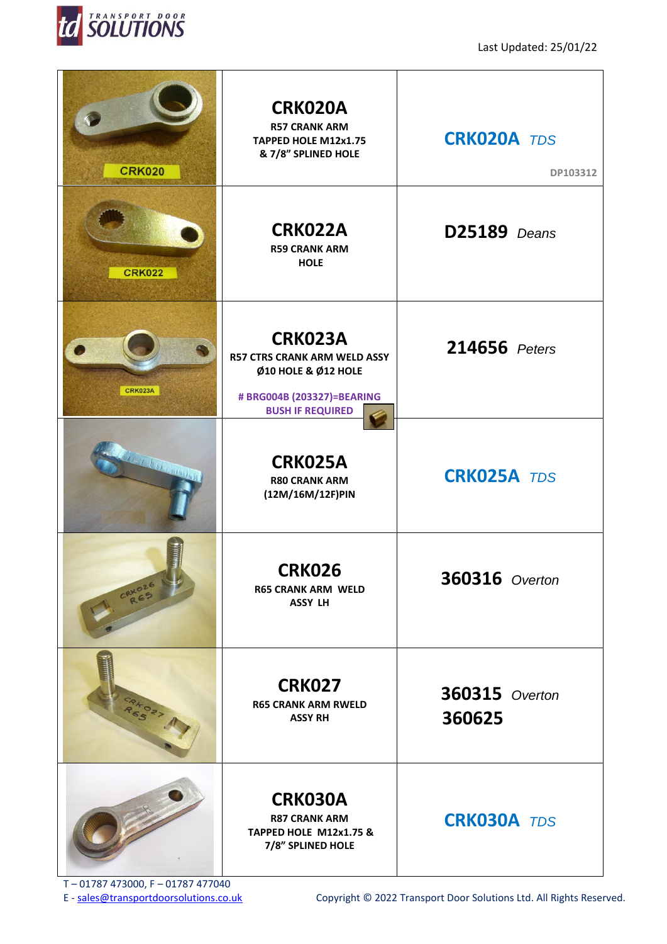

| <b>CRK020</b>              | <b>CRK020A</b><br><b>R57 CRANK ARM</b><br>TAPPED HOLE M12x1.75<br>& 7/8" SPLINED HOLE                                                 | <b>CRK020A TDS</b><br>DP103312  |
|----------------------------|---------------------------------------------------------------------------------------------------------------------------------------|---------------------------------|
| <b>CRK022</b>              | CRK022A<br><b>R59 CRANK ARM</b><br><b>HOLE</b>                                                                                        | D25189 Deans                    |
| <b>CRK023A</b>             | <b>CRK023A</b><br><b>R57 CTRS CRANK ARM WELD ASSY</b><br>Ø10 HOLE & Ø12 HOLE<br># BRG004B (203327)=BEARING<br><b>BUSH IF REQUIRED</b> | 214656 Peters                   |
| <b>BETTER DESCRIPTIONS</b> | <b>CRK025A</b><br><b>R80 CRANK ARM</b><br>(12M/16M/12F)PIN                                                                            | <b>CRK025A TDS</b>              |
| CRKOZE                     | <b>CRK026</b><br><b>R65 CRANK ARM WELD</b><br><b>ASSY LH</b>                                                                          | <b>360316</b> Overton           |
| CRKO27                     | <b>CRK027</b><br><b>R65 CRANK ARM RWELD</b><br><b>ASSY RH</b>                                                                         | <b>360315</b> Overton<br>360625 |
|                            | CRK030A<br><b>R87 CRANK ARM</b><br>TAPPED HOLE M12x1.75 &<br>7/8" SPLINED HOLE                                                        | <b>CRK030A TDS</b>              |

T – 01787 473000, F – 01787 477040<br>E - sales@transportdoorsolutions.co.uk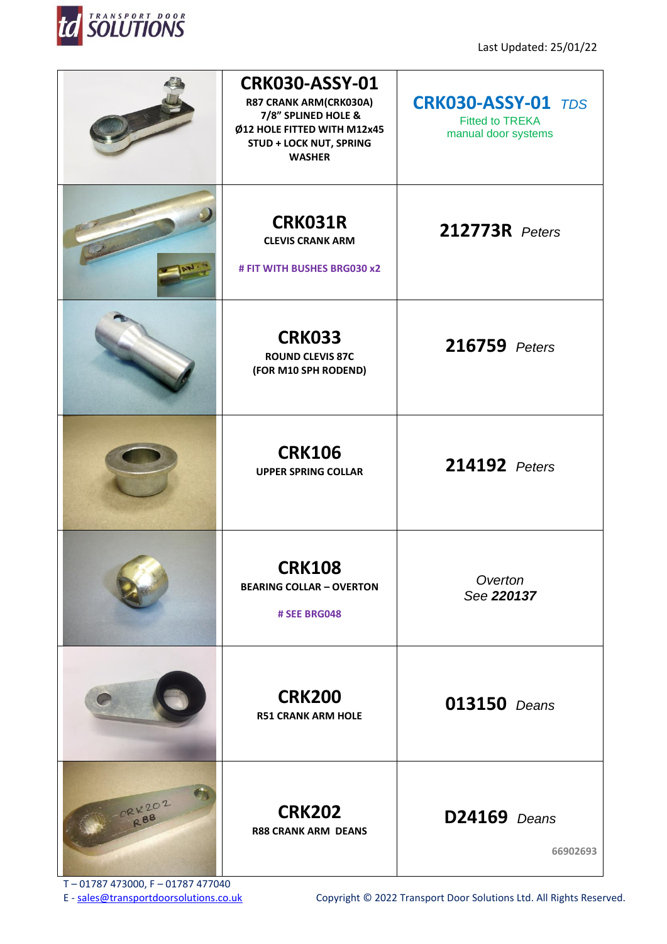

|        | <b>CRK030-ASSY-01</b><br>R87 CRANK ARM(CRK030A)<br>7/8" SPLINED HOLE &<br>Ø12 HOLE FITTED WITH M12x45<br><b>STUD + LOCK NUT, SPRING</b><br><b>WASHER</b> | <b>CRK030-ASSY-01 TDS</b><br><b>Fitted to TREKA</b><br>manual door systems |
|--------|----------------------------------------------------------------------------------------------------------------------------------------------------------|----------------------------------------------------------------------------|
|        | <b>CRK031R</b><br><b>CLEVIS CRANK ARM</b><br># FIT WITH BUSHES BRG030 x2                                                                                 | <b>212773R</b> Peters                                                      |
|        | <b>CRK033</b><br><b>ROUND CLEVIS 87C</b><br>(FOR M10 SPH RODEND)                                                                                         | 216759 Peters                                                              |
|        | <b>CRK106</b><br><b>UPPER SPRING COLLAR</b>                                                                                                              | 214192 Peters                                                              |
|        | <b>CRK108</b><br><b>BEARING COLLAR - OVERTON</b><br># SEE BRG048                                                                                         | Overton<br>See 220137                                                      |
|        | <b>CRK200</b><br><b>R51 CRANK ARM HOLE</b>                                                                                                               | <b>013150</b> Deans                                                        |
| CRK202 | <b>CRK202</b><br><b>R88 CRANK ARM DEANS</b>                                                                                                              | <b>D24169</b> Deans<br>66902693                                            |

T – 01787 473000, F – 01787 477040<br>E - sales@transportdoorsolutions.co.uk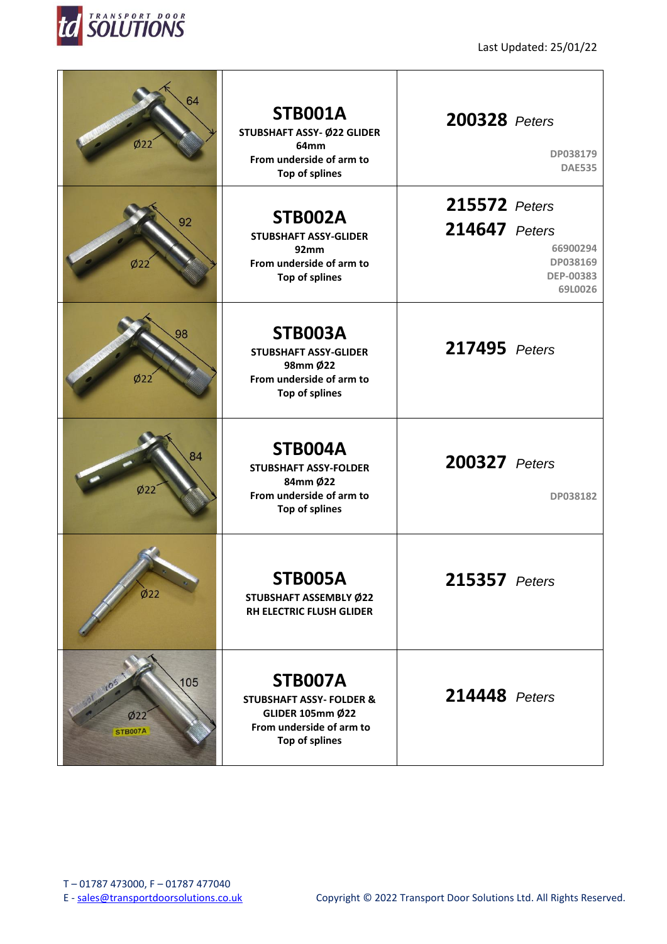

| 64<br>Ø22                    | <b>STB001A</b><br>STUBSHAFT ASSY- Ø22 GLIDER<br>64mm<br>From underside of arm to<br><b>Top of splines</b>                      | <b>200328</b> Peters           | DP038179<br><b>DAE535</b>                           |
|------------------------------|--------------------------------------------------------------------------------------------------------------------------------|--------------------------------|-----------------------------------------------------|
| 92<br>Ø22                    | <b>STB002A</b><br><b>STUBSHAFT ASSY-GLIDER</b><br>92mm<br>From underside of arm to<br><b>Top of splines</b>                    | 215572 Peters<br>214647 Peters | 66900294<br>DP038169<br><b>DEP-00383</b><br>69L0026 |
| 98<br>Ø22                    | STB003A<br><b>STUBSHAFT ASSY-GLIDER</b><br>98mm Ø22<br>From underside of arm to<br><b>Top of splines</b>                       | 217495 Peters                  |                                                     |
| 84<br>Ø22                    | STB004A<br><b>STUBSHAFT ASSY-FOLDER</b><br>84mm Ø22<br>From underside of arm to<br><b>Top of splines</b>                       | <b>200327</b> Peters           | DP038182                                            |
| $\dot{\textphi}$ 22          | STB005A<br>STUBSHAFT ASSEMBLY Ø22<br>RH ELECTRIC FLUSH GLIDER                                                                  | <b>215357</b> Peters           |                                                     |
| 105<br>Ø22<br><b>STB007A</b> | STB007A<br><b>STUBSHAFT ASSY- FOLDER &amp;</b><br><b>GLIDER 105mm Ø22</b><br>From underside of arm to<br><b>Top of splines</b> | 214448 Peters                  |                                                     |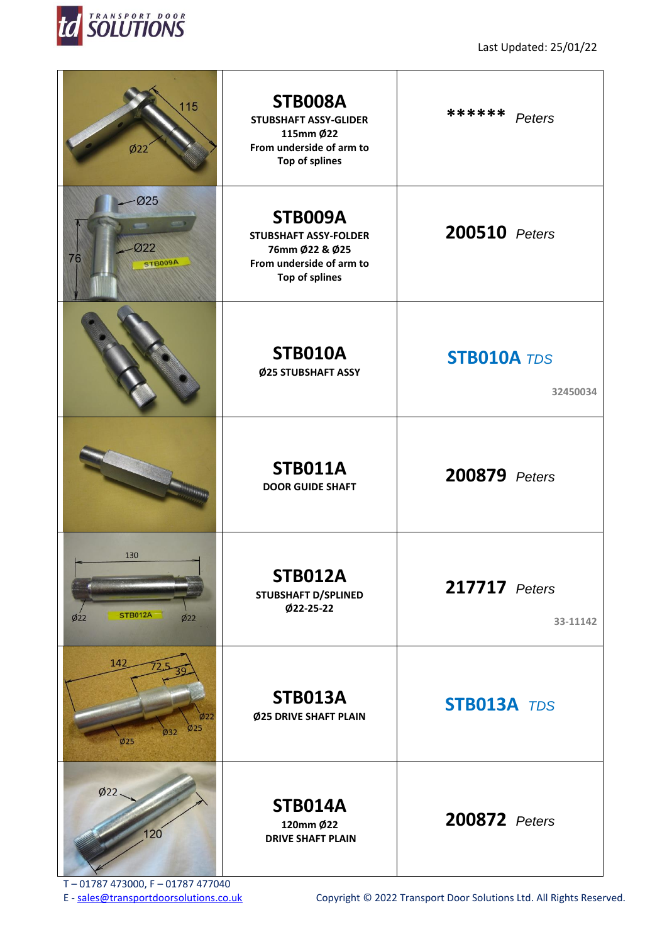

| 115<br>Ø22                                 | <b>STB008A</b><br><b>STUBSHAFT ASSY-GLIDER</b><br>115mm Ø22<br>From underside of arm to<br>Top of splines      | ******<br>Peters               |
|--------------------------------------------|----------------------------------------------------------------------------------------------------------------|--------------------------------|
| Ø25<br>Ø22<br>76<br>STB009A                | STB009A<br><b>STUBSHAFT ASSY-FOLDER</b><br>76mm Ø22 & Ø25<br>From underside of arm to<br><b>Top of splines</b> | 200510 Peters                  |
|                                            | <b>STB010A</b><br>Ø25 STUBSHAFT ASSY                                                                           | <b>STB010A TDS</b><br>32450034 |
|                                            | <b>STB011A</b><br><b>DOOR GUIDE SHAFT</b>                                                                      | 200879 Peters                  |
| 130<br><b>STB012A</b><br>Ø22<br>Ø22        | <b>STB012A</b><br><b>STUBSHAFT D/SPLINED</b><br>Ø22-25-22                                                      | 217717 Peters<br>33-11142      |
| 142<br>222<br>Ø25<br>$\emptyset$ 32<br>Ø25 | <b>STB013A</b><br>Ø25 DRIVE SHAFT PLAIN                                                                        | STB013A TDS                    |
| Ø22<br>120                                 | <b>STB014A</b><br>120mm Ø22<br><b>DRIVE SHAFT PLAIN</b>                                                        | 200872 Peters                  |

T – 01787 473000, F – 01787 477040<br>E - sales@transportdoorsolutions.co.uk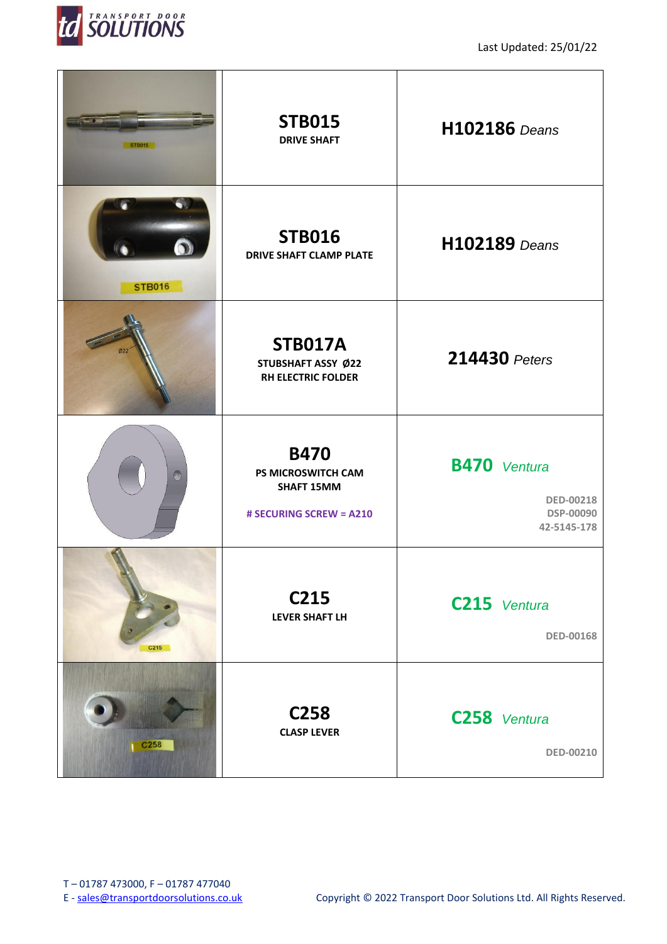

Last Updated: 25/01/22

| <b>STB015</b>              | <b>STB015</b><br><b>DRIVE SHAFT</b>                                               | <b>H102186</b> Deans                                                |
|----------------------------|-----------------------------------------------------------------------------------|---------------------------------------------------------------------|
| $\bullet$<br><b>STB016</b> | <b>STB016</b><br><b>DRIVE SHAFT CLAMP PLATE</b>                                   | <b>H102189</b> Deans                                                |
|                            | <b>STB017A</b><br>STUBSHAFT ASSY Ø22<br><b>RH ELECTRIC FOLDER</b>                 | 214430 Peters                                                       |
| $\mathcal{D}$              | <b>B470</b><br>PS MICROSWITCH CAM<br><b>SHAFT 15MM</b><br># SECURING SCREW = A210 | <b>B470</b> Ventura<br><b>DED-00218</b><br>DSP-00090<br>42-5145-178 |
| C215                       | C215<br><b>LEVER SHAFT LH</b>                                                     | C215 Ventura<br><b>DED-00168</b>                                    |
| C258                       | C <sub>258</sub><br><b>CLASP LEVER</b>                                            | C258 Ventura<br>DED-00210                                           |